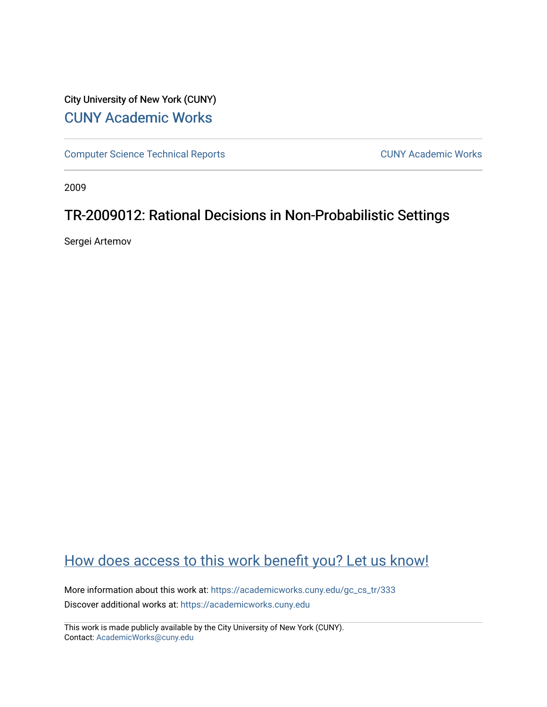# City University of New York (CUNY) [CUNY Academic Works](https://academicworks.cuny.edu/)

[Computer Science Technical Reports](https://academicworks.cuny.edu/gc_cs_tr) **CUNY Academic Works** CUNY Academic Works

2009

# TR-2009012: Rational Decisions in Non-Probabilistic Settings

Sergei Artemov

# [How does access to this work benefit you? Let us know!](http://ols.cuny.edu/academicworks/?ref=https://academicworks.cuny.edu/gc_cs_tr/333)

More information about this work at: https://academicworks.cuny.edu/gc\_cs\_tr/333 Discover additional works at: [https://academicworks.cuny.edu](https://academicworks.cuny.edu/?)

This work is made publicly available by the City University of New York (CUNY). Contact: [AcademicWorks@cuny.edu](mailto:AcademicWorks@cuny.edu)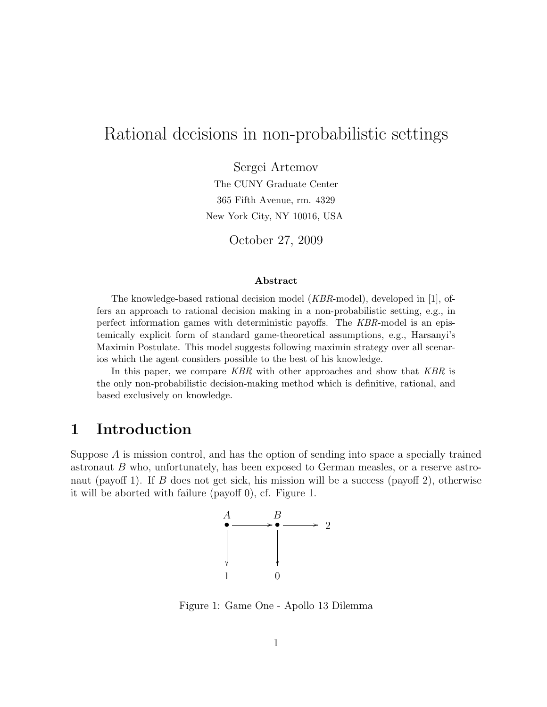# Rational decisions in non-probabilistic settings

Sergei Artemov

The CUNY Graduate Center 365 Fifth Avenue, rm. 4329 New York City, NY 10016, USA

October 27, 2009

#### Abstract

The knowledge-based rational decision model (KBR-model), developed in [1], offers an approach to rational decision making in a non-probabilistic setting, e.g., in perfect information games with deterministic payoffs. The KBR-model is an epistemically explicit form of standard game-theoretical assumptions, e.g., Harsanyi's Maximin Postulate. This model suggests following maximin strategy over all scenarios which the agent considers possible to the best of his knowledge.

In this paper, we compare KBR with other approaches and show that KBR is the only non-probabilistic decision-making method which is definitive, rational, and based exclusively on knowledge.

## 1 Introduction

Suppose A is mission control, and has the option of sending into space a specially trained astronaut B who, unfortunately, has been exposed to German measles, or a reserve astronaut (payoff 1). If B does not get sick, his mission will be a success (payoff 2), otherwise it will be aborted with failure (payoff 0), cf. Figure 1.



Figure 1: Game One - Apollo 13 Dilemma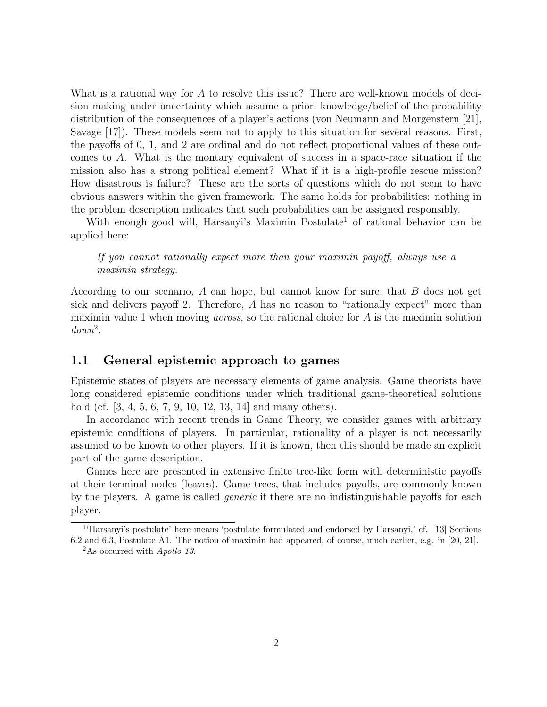What is a rational way for A to resolve this issue? There are well-known models of decision making under uncertainty which assume a priori knowledge/belief of the probability distribution of the consequences of a player's actions (von Neumann and Morgenstern [21], Savage [17]). These models seem not to apply to this situation for several reasons. First, the payoffs of 0, 1, and 2 are ordinal and do not reflect proportional values of these outcomes to A. What is the montary equivalent of success in a space-race situation if the mission also has a strong political element? What if it is a high-profile rescue mission? How disastrous is failure? These are the sorts of questions which do not seem to have obvious answers within the given framework. The same holds for probabilities: nothing in the problem description indicates that such probabilities can be assigned responsibly.

With enough good will, Harsanyi's Maximin Postulate<sup>1</sup> of rational behavior can be applied here:

If you cannot rationally expect more than your maximin payoff, always use a maximin strategy.

According to our scenario, A can hope, but cannot know for sure, that B does not get sick and delivers payoff 2. Therefore, A has no reason to "rationally expect" more than maximin value 1 when moving *across*, so the rational choice for A is the maximin solution  $down<sup>2</sup>$ .

### 1.1 General epistemic approach to games

Epistemic states of players are necessary elements of game analysis. Game theorists have long considered epistemic conditions under which traditional game-theoretical solutions hold (cf. [3, 4, 5, 6, 7, 9, 10, 12, 13, 14] and many others).

In accordance with recent trends in Game Theory, we consider games with arbitrary epistemic conditions of players. In particular, rationality of a player is not necessarily assumed to be known to other players. If it is known, then this should be made an explicit part of the game description.

Games here are presented in extensive finite tree-like form with deterministic payoffs at their terminal nodes (leaves). Game trees, that includes payoffs, are commonly known by the players. A game is called generic if there are no indistinguishable payoffs for each player.

<sup>1</sup> 'Harsanyi's postulate' here means 'postulate formulated and endorsed by Harsanyi,' cf. [13] Sections 6.2 and 6.3, Postulate A1. The notion of maximin had appeared, of course, much earlier, e.g. in [20, 21].

<sup>&</sup>lt;sup>2</sup>As occurred with  $A$ *pollo* 13.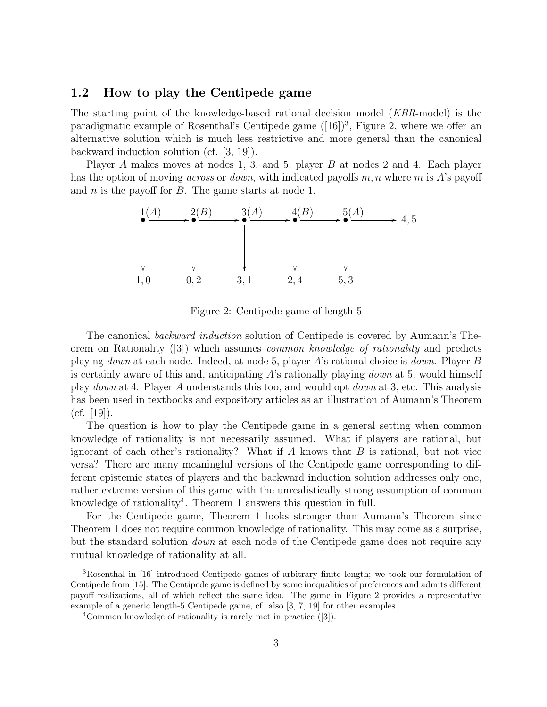### 1.2 How to play the Centipede game

The starting point of the knowledge-based rational decision model (KBR-model) is the paradigmatic example of Rosenthal's Centipede game  $([16])^3$ , Figure 2, where we offer an alternative solution which is much less restrictive and more general than the canonical backward induction solution (cf. [3, 19]).

Player A makes moves at nodes 1, 3, and 5, player B at nodes 2 and 4. Each player has the option of moving *across* or *down*, with indicated payoffs m, n where m is A's payoff and  $n$  is the payoff for  $B$ . The game starts at node 1.



Figure 2: Centipede game of length 5

The canonical backward induction solution of Centipede is covered by Aumann's Theorem on Rationality ([3]) which assumes common knowledge of rationality and predicts playing down at each node. Indeed, at node 5, player A's rational choice is down. Player B is certainly aware of this and, anticipating  $A$ 's rationally playing *down* at 5, would himself play down at 4. Player A understands this too, and would opt down at 3, etc. This analysis has been used in textbooks and expository articles as an illustration of Aumann's Theorem  $(cf. [19])$ .

The question is how to play the Centipede game in a general setting when common knowledge of rationality is not necessarily assumed. What if players are rational, but ignorant of each other's rationality? What if  $A$  knows that  $B$  is rational, but not vice versa? There are many meaningful versions of the Centipede game corresponding to different epistemic states of players and the backward induction solution addresses only one, rather extreme version of this game with the unrealistically strong assumption of common knowledge of rationality<sup>4</sup>. Theorem 1 answers this question in full.

For the Centipede game, Theorem 1 looks stronger than Aumann's Theorem since Theorem 1 does not require common knowledge of rationality. This may come as a surprise, but the standard solution *down* at each node of the Centipede game does not require any mutual knowledge of rationality at all.

<sup>3</sup>Rosenthal in [16] introduced Centipede games of arbitrary finite length; we took our formulation of Centipede from [15]. The Centipede game is defined by some inequalities of preferences and admits different payoff realizations, all of which reflect the same idea. The game in Figure 2 provides a representative example of a generic length-5 Centipede game, cf. also [3, 7, 19] for other examples.

<sup>4</sup>Common knowledge of rationality is rarely met in practice ([3]).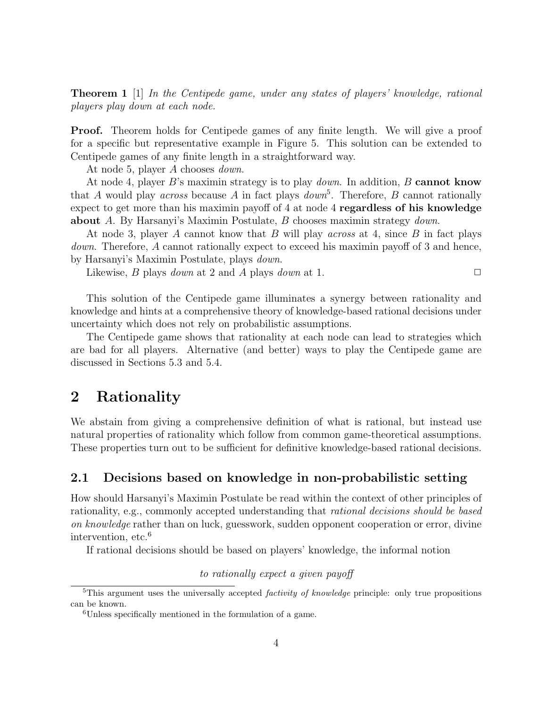Theorem 1 [1] In the Centipede game, under any states of players' knowledge, rational players play down at each node.

**Proof.** Theorem holds for Centipede games of any finite length. We will give a proof for a specific but representative example in Figure 5. This solution can be extended to Centipede games of any finite length in a straightforward way.

At node 5, player A chooses down.

At node 4, player B's maximin strategy is to play *down*. In addition, B cannot know that A would play *across* because A in fact plays  $down<sup>5</sup>$ . Therefore, B cannot rationally expect to get more than his maximin payoff of 4 at node 4 regardless of his knowledge about A. By Harsanyi's Maximin Postulate, B chooses maximin strategy down.

At node 3, player A cannot know that B will play across at 4, since B in fact plays down. Therefore, A cannot rationally expect to exceed his maximin payoff of 3 and hence, by Harsanyi's Maximin Postulate, plays down.

Likewise, *B* plays *down* at 2 and *A* plays *down* at 1.  $\Box$ 

This solution of the Centipede game illuminates a synergy between rationality and knowledge and hints at a comprehensive theory of knowledge-based rational decisions under uncertainty which does not rely on probabilistic assumptions.

The Centipede game shows that rationality at each node can lead to strategies which are bad for all players. Alternative (and better) ways to play the Centipede game are discussed in Sections 5.3 and 5.4.

### 2 Rationality

We abstain from giving a comprehensive definition of what is rational, but instead use natural properties of rationality which follow from common game-theoretical assumptions. These properties turn out to be sufficient for definitive knowledge-based rational decisions.

### 2.1 Decisions based on knowledge in non-probabilistic setting

How should Harsanyi's Maximin Postulate be read within the context of other principles of rationality, e.g., commonly accepted understanding that rational decisions should be based on knowledge rather than on luck, guesswork, sudden opponent cooperation or error, divine intervention, etc.<sup>6</sup>

If rational decisions should be based on players' knowledge, the informal notion

to rationally expect a given payoff

<sup>&</sup>lt;sup>5</sup>This argument uses the universally accepted *factivity of knowledge* principle: only true propositions can be known.

<sup>6</sup>Unless specifically mentioned in the formulation of a game.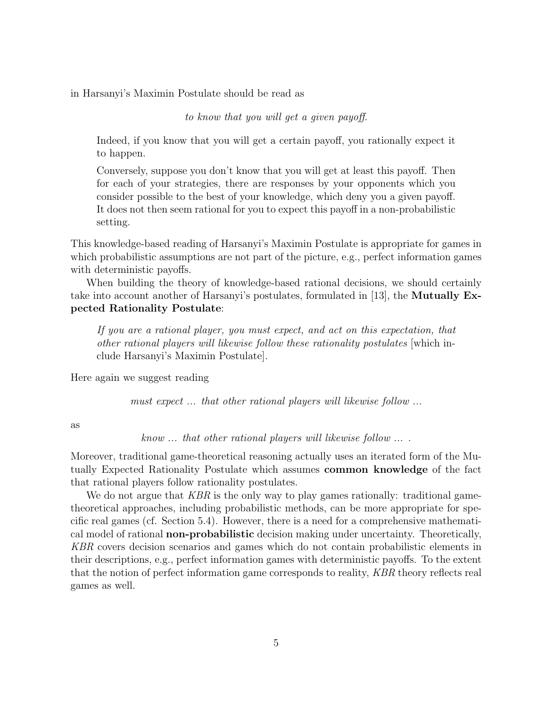in Harsanyi's Maximin Postulate should be read as

to know that you will get a given payoff.

Indeed, if you know that you will get a certain payoff, you rationally expect it to happen.

Conversely, suppose you don't know that you will get at least this payoff. Then for each of your strategies, there are responses by your opponents which you consider possible to the best of your knowledge, which deny you a given payoff. It does not then seem rational for you to expect this payoff in a non-probabilistic setting.

This knowledge-based reading of Harsanyi's Maximin Postulate is appropriate for games in which probabilistic assumptions are not part of the picture, e.g., perfect information games with deterministic payoffs.

When building the theory of knowledge-based rational decisions, we should certainly take into account another of Harsanyi's postulates, formulated in [13], the Mutually Expected Rationality Postulate:

If you are a rational player, you must expect, and act on this expectation, that other rational players will likewise follow these rationality postulates [which include Harsanyi's Maximin Postulate].

Here again we suggest reading

must expect ... that other rational players will likewise follow ...

as

know ... that other rational players will likewise follow ... .

Moreover, traditional game-theoretical reasoning actually uses an iterated form of the Mutually Expected Rationality Postulate which assumes common knowledge of the fact that rational players follow rationality postulates.

We do not argue that KBR is the only way to play games rationally: traditional gametheoretical approaches, including probabilistic methods, can be more appropriate for specific real games (cf. Section 5.4). However, there is a need for a comprehensive mathematical model of rational non-probabilistic decision making under uncertainty. Theoretically, KBR covers decision scenarios and games which do not contain probabilistic elements in their descriptions, e.g., perfect information games with deterministic payoffs. To the extent that the notion of perfect information game corresponds to reality, KBR theory reflects real games as well.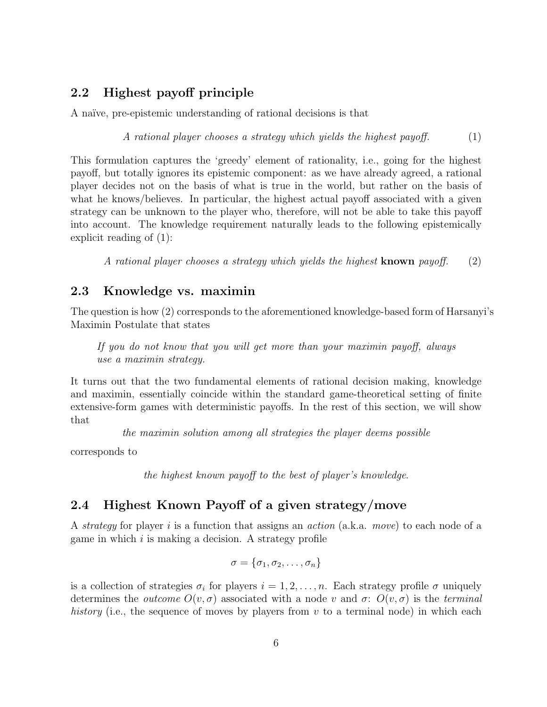### 2.2 Highest payoff principle

A naïve, pre-epistemic understanding of rational decisions is that

A rational player chooses a strategy which yields the highest payoff.  $(1)$ 

This formulation captures the 'greedy' element of rationality, i.e., going for the highest payoff, but totally ignores its epistemic component: as we have already agreed, a rational player decides not on the basis of what is true in the world, but rather on the basis of what he knows/believes. In particular, the highest actual payoff associated with a given strategy can be unknown to the player who, therefore, will not be able to take this payoff into account. The knowledge requirement naturally leads to the following epistemically explicit reading of (1):

A rational player chooses a strategy which yields the highest **known** payoff. (2)

### 2.3 Knowledge vs. maximin

The question is how (2) corresponds to the aforementioned knowledge-based form of Harsanyi's Maximin Postulate that states

If you do not know that you will get more than your maximin payoff, always use a maximin strategy.

It turns out that the two fundamental elements of rational decision making, knowledge and maximin, essentially coincide within the standard game-theoretical setting of finite extensive-form games with deterministic payoffs. In the rest of this section, we will show that

the maximin solution among all strategies the player deems possible

corresponds to

the highest known payoff to the best of player's knowledge.

### 2.4 Highest Known Payoff of a given strategy/move

A strategy for player i is a function that assigns an action (a.k.a. move) to each node of a game in which  $i$  is making a decision. A strategy profile

$$
\sigma = \{\sigma_1, \sigma_2, \ldots, \sigma_n\}
$$

is a collection of strategies  $\sigma_i$  for players  $i = 1, 2, \ldots, n$ . Each strategy profile  $\sigma$  uniquely determines the *outcome*  $O(v, \sigma)$  associated with a node v and  $\sigma$ :  $O(v, \sigma)$  is the *terminal* history (i.e., the sequence of moves by players from  $v$  to a terminal node) in which each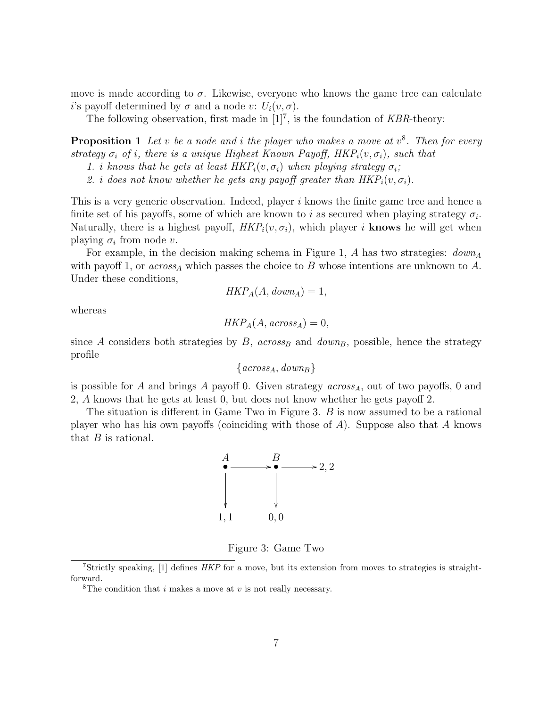move is made according to  $\sigma$ . Likewise, everyone who knows the game tree can calculate i's payoff determined by  $\sigma$  and a node v:  $U_i(v, \sigma)$ .

The following observation, first made in  $[1]^7$ , is the foundation of KBR-theory:

**Proposition 1** Let v be a node and i the player who makes a move at  $v^8$ . Then for every strategy  $\sigma_i$  of i, there is a unique Highest Known Payoff,  $HKP_i(v, \sigma_i)$ , such that

2. i does not know whether he gets any payoff greater than  $HKP_i(v, \sigma_i)$ .

This is a very generic observation. Indeed, player i knows the finite game tree and hence a finite set of his payoffs, some of which are known to i as secured when playing strategy  $\sigma_i$ . Naturally, there is a highest payoff,  $HKP<sub>i</sub>(v, \sigma<sub>i</sub>)$ , which player i knows he will get when playing  $\sigma_i$  from node v.

For example, in the decision making schema in Figure 1, A has two strategies:  $down_A$ with payoff 1, or  $across_A$  which passes the choice to B whose intentions are unknown to A. Under these conditions,

$$
HKP_A(A, down_A) = 1,
$$

whereas

$$
HKP_A(A, \mathit{across}_A) = 0,
$$

since A considers both strategies by  $B$ , across<sub>B</sub> and down<sub>B</sub>, possible, hence the strategy profile

 $\{across_A, down_B\}$ 

is possible for A and brings A payoff 0. Given strategy  $across_A$ , out of two payoffs, 0 and 2, A knows that he gets at least 0, but does not know whether he gets payoff 2.

The situation is different in Game Two in Figure 3. B is now assumed to be a rational player who has his own payoffs (coinciding with those of A). Suppose also that A knows that  $B$  is rational.



Figure 3: Game Two

<sup>1.</sup> i knows that he gets at least  $HKP_i(v, \sigma_i)$  when playing strategy  $\sigma_i$ ;

<sup>7</sup>Strictly speaking, [1] defines HKP for a move, but its extension from moves to strategies is straightforward.

<sup>&</sup>lt;sup>8</sup>The condition that i makes a move at v is not really necessary.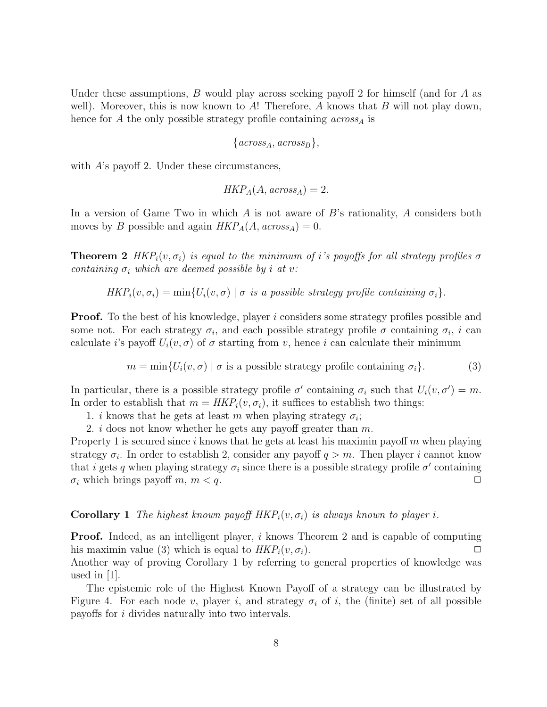Under these assumptions, B would play across seeking payoff 2 for himself (and for A as well). Moreover, this is now known to A! Therefore, A knows that B will not play down, hence for A the only possible strategy profile containing  $across_A$  is

$$
{\{across_A, across_B\}},
$$

with A's payoff 2. Under these circumstances,

$$
HKP_A(A, across_A) = 2.
$$

In a version of Game Two in which  $A$  is not aware of  $B$ 's rationality,  $A$  considers both moves by B possible and again  $HKP_A(A, across_A) = 0$ .

**Theorem 2** HKP<sub>i</sub> $(v, \sigma_i)$  is equal to the minimum of i's payoffs for all strategy profiles  $\sigma$ containing  $\sigma_i$  which are deemed possible by i at v:

$$
HKP_i(v, \sigma_i) = \min\{U_i(v, \sigma) \mid \sigma \text{ is a possible strategy profile containing } \sigma_i\}
$$

**Proof.** To the best of his knowledge, player i considers some strategy profiles possible and some not. For each strategy  $\sigma_i$ , and each possible strategy profile  $\sigma$  containing  $\sigma_i$ , i can calculate i's payoff  $U_i(v, \sigma)$  of  $\sigma$  starting from v, hence i can calculate their minimum

$$
m = \min\{U_i(v, \sigma) \mid \sigma \text{ is a possible strategy profile containing } \sigma_i\}. \tag{3}
$$

In particular, there is a possible strategy profile  $\sigma'$  containing  $\sigma_i$  such that  $U_i(v, \sigma') = m$ . In order to establish that  $m = HKP<sub>i</sub>(v, \sigma_i)$ , it suffices to establish two things:

- 1. *i* knows that he gets at least m when playing strategy  $\sigma_i$ ;
- 2. i does not know whether he gets any payoff greater than  $m$ .

Property 1 is secured since  $i$  knows that he gets at least his maximin payoff  $m$  when playing strategy  $\sigma_i$ . In order to establish 2, consider any payoff  $q > m$ . Then player i cannot know that *i* gets q when playing strategy  $\sigma_i$  since there is a possible strategy profile  $\sigma'$  containing  $\sigma_i$  which brings payoff  $m, m < q$ .

**Corollary 1** The highest known payoff  $HKP_i(v, \sigma_i)$  is always known to player i.

**Proof.** Indeed, as an intelligent player, i knows Theorem 2 and is capable of computing his maximin value (3) which is equal to  $HKP_i(v, \sigma_i)$ .

Another way of proving Corollary 1 by referring to general properties of knowledge was used in [1].

The epistemic role of the Highest Known Payoff of a strategy can be illustrated by Figure 4. For each node v, player i, and strategy  $\sigma_i$  of i, the (finite) set of all possible payoffs for i divides naturally into two intervals.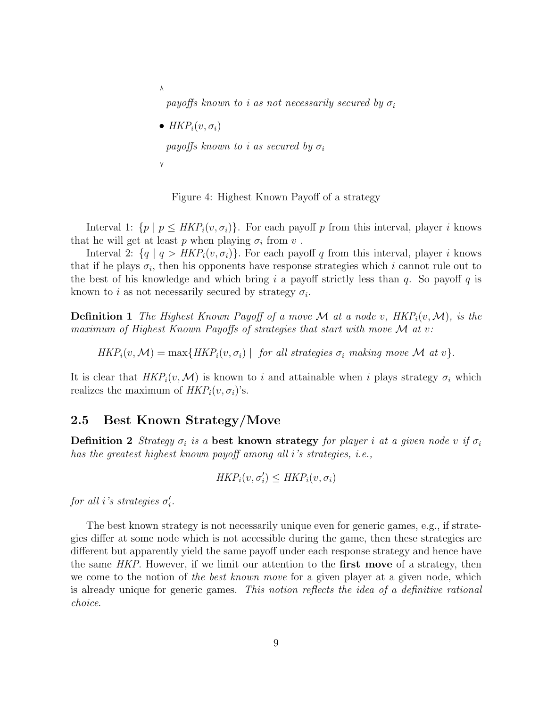•  $HKP_i(v, \sigma_i)$ ľ OO payoffs known to i as secured by  $\sigma_i$ payoffs known to i as not necessarily secured by  $\sigma_i$ 

Figure 4: Highest Known Payoff of a strategy

Interval 1:  $\{p \mid p \leq \text{HKP}_i(v, \sigma_i)\}\$ . For each payoff p from this interval, player i knows that he will get at least  $p$  when playing  $\sigma_i$  from  $v$ .

Interval 2:  $\{q \mid q > HKP_i(v, \sigma_i)\}\$ . For each payoff q from this interval, player i knows that if he plays  $\sigma_i$ , then his opponents have response strategies which i cannot rule out to the best of his knowledge and which bring i a payoff strictly less than q. So payoff q is known to *i* as not necessarily secured by strategy  $\sigma_i$ .

**Definition 1** The Highest Known Payoff of a move M at a node v,  $HKP_i(v, \mathcal{M})$ , is the maximum of Highest Known Payoffs of strategies that start with move  $\mathcal M$  at v:

 $HKP_i(v, \mathcal{M}) = \max\{HKP_i(v, \sigma_i) \mid \text{ for all strategies } \sigma_i \text{ making move } \mathcal{M} \text{ at } v\}.$ 

It is clear that  $HKP_i(v,\mathcal{M})$  is known to i and attainable when i plays strategy  $\sigma_i$  which realizes the maximum of  $HKP_i(v, \sigma_i)$ 's.

### 2.5 Best Known Strategy/Move

Definition 2 Strategy  $\sigma_i$  is a best known strategy for player i at a given node v if  $\sigma_i$ has the greatest highest known payoff among all i's strategies, i.e.,

$$
HKP_i(v, \sigma'_i) \leq HKP_i(v, \sigma_i)
$$

for all *i*'s strategies  $\sigma_i'$ .

The best known strategy is not necessarily unique even for generic games, e.g., if strategies differ at some node which is not accessible during the game, then these strategies are different but apparently yield the same payoff under each response strategy and hence have the same HKP. However, if we limit our attention to the **first move** of a strategy, then we come to the notion of the best known move for a given player at a given node, which is already unique for generic games. This notion reflects the idea of a definitive rational choice.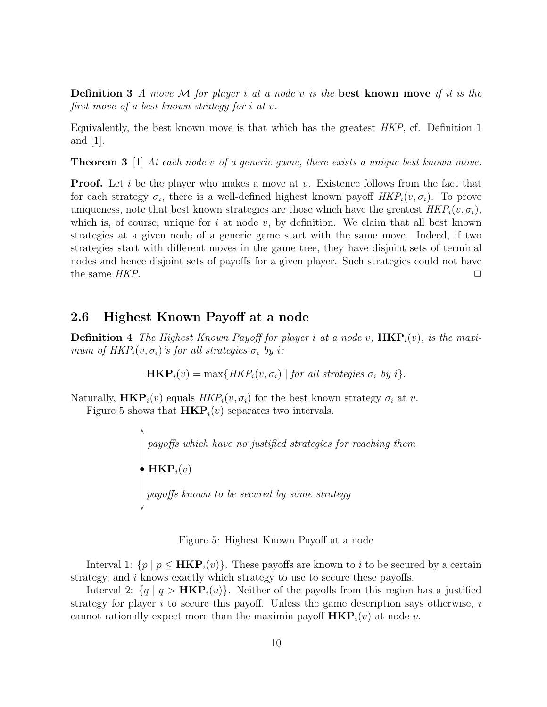**Definition 3** A move M for player i at a node v is the best known move if it is the first move of a best known strategy for i at v.

Equivalently, the best known move is that which has the greatest HKP, cf. Definition 1 and  $|1|$ .

**Theorem 3** [1] At each node v of a generic game, there exists a unique best known move.

**Proof.** Let i be the player who makes a move at v. Existence follows from the fact that for each strategy  $\sigma_i$ , there is a well-defined highest known payoff  $HKP_i(v, \sigma_i)$ . To prove uniqueness, note that best known strategies are those which have the greatest  $HKP_i(v, \sigma_i)$ , which is, of course, unique for i at node v, by definition. We claim that all best known strategies at a given node of a generic game start with the same move. Indeed, if two strategies start with different moves in the game tree, they have disjoint sets of terminal nodes and hence disjoint sets of payoffs for a given player. Such strategies could not have the same  $HKP$ .

#### 2.6 Highest Known Payoff at a node

**Definition 4** The Highest Known Payoff for player i at a node v,  $HKP<sub>i</sub>(v)$ , is the maximum of  $HKP_i(v, \sigma_i)$ 's for all strategies  $\sigma_i$  by i:

**HKP**<sub>*i*</sub>
$$
(v) = \max\{HKP_i(v, \sigma_i) | for all strategies \sigma_i by i\}.
$$

Naturally,  $\mathbf{HKP}_i(v)$  equals  $HKP_i(v, \sigma_i)$  for the best known strategy  $\sigma_i$  at v.

Figure 5 shows that  $HKP<sub>i</sub>(v)$  separates two intervals.

 $\bullet$   $\mathbf{HKP}_i(v)$  $\mathcal{L}$ OO payoffs known to be secured by some strategy payoffs which have no justified strategies for reaching them

Figure 5: Highest Known Payoff at a node

Interval 1:  $\{p \mid p \leq \textbf{HKP}_i(v)\}\$ . These payoffs are known to i to be secured by a certain strategy, and i knows exactly which strategy to use to secure these payoffs.

Interval 2:  $\{q \mid q > HKP_i(v)\}\$ . Neither of the payoffs from this region has a justified strategy for player  $i$  to secure this payoff. Unless the game description says otherwise,  $i$ cannot rationally expect more than the maximin payoff  $HKP<sub>i</sub>(v)$  at node v.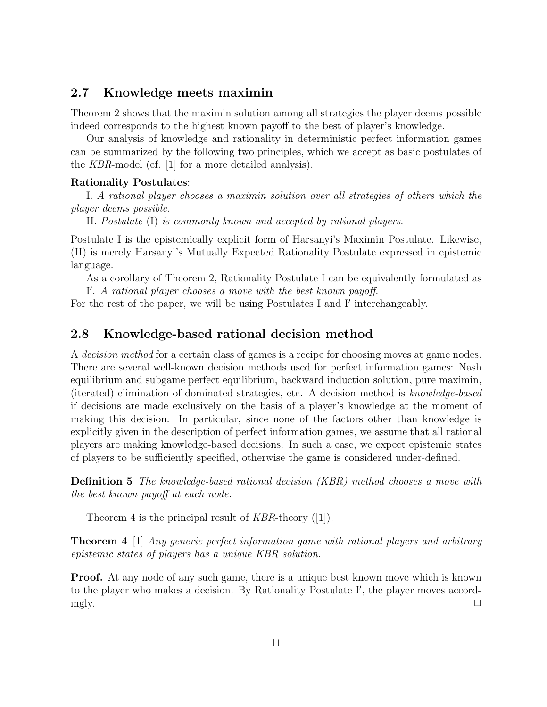### 2.7 Knowledge meets maximin

Theorem 2 shows that the maximin solution among all strategies the player deems possible indeed corresponds to the highest known payoff to the best of player's knowledge.

Our analysis of knowledge and rationality in deterministic perfect information games can be summarized by the following two principles, which we accept as basic postulates of the KBR-model (cf. [1] for a more detailed analysis).

#### Rationality Postulates:

I. A rational player chooses a maximin solution over all strategies of others which the player deems possible.

II. Postulate (I) is commonly known and accepted by rational players.

Postulate I is the epistemically explicit form of Harsanyi's Maximin Postulate. Likewise, (II) is merely Harsanyi's Mutually Expected Rationality Postulate expressed in epistemic language.

As a corollary of Theorem 2, Rationality Postulate I can be equivalently formulated as I'. A rational player chooses a move with the best known payoff.

For the rest of the paper, we will be using Postulates I and I' interchangeably.

### 2.8 Knowledge-based rational decision method

A decision method for a certain class of games is a recipe for choosing moves at game nodes. There are several well-known decision methods used for perfect information games: Nash equilibrium and subgame perfect equilibrium, backward induction solution, pure maximin, (iterated) elimination of dominated strategies, etc. A decision method is knowledge-based if decisions are made exclusively on the basis of a player's knowledge at the moment of making this decision. In particular, since none of the factors other than knowledge is explicitly given in the description of perfect information games, we assume that all rational players are making knowledge-based decisions. In such a case, we expect epistemic states of players to be sufficiently specified, otherwise the game is considered under-defined.

Definition 5 The knowledge-based rational decision (KBR) method chooses a move with the best known payoff at each node.

Theorem 4 is the principal result of  $KBR$ -theory ([1]).

Theorem 4 [1] Any generic perfect information game with rational players and arbitrary epistemic states of players has a unique KBR solution.

**Proof.** At any node of any such game, there is a unique best known move which is known to the player who makes a decision. By Rationality Postulate I', the player moves accordingly.  $\square$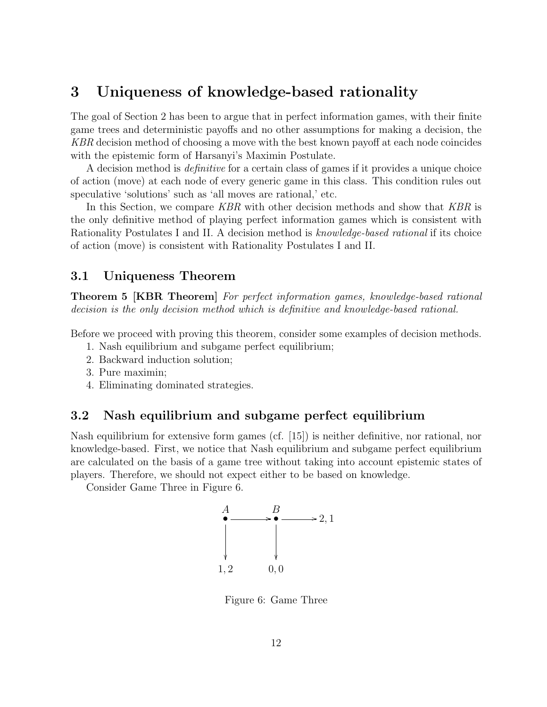## 3 Uniqueness of knowledge-based rationality

The goal of Section 2 has been to argue that in perfect information games, with their finite game trees and deterministic payoffs and no other assumptions for making a decision, the KBR decision method of choosing a move with the best known payoff at each node coincides with the epistemic form of Harsanyi's Maximin Postulate.

A decision method is definitive for a certain class of games if it provides a unique choice of action (move) at each node of every generic game in this class. This condition rules out speculative 'solutions' such as 'all moves are rational,' etc.

In this Section, we compare KBR with other decision methods and show that KBR is the only definitive method of playing perfect information games which is consistent with Rationality Postulates I and II. A decision method is knowledge-based rational if its choice of action (move) is consistent with Rationality Postulates I and II.

### 3.1 Uniqueness Theorem

Theorem 5 [KBR Theorem] For perfect information games, knowledge-based rational decision is the only decision method which is definitive and knowledge-based rational.

Before we proceed with proving this theorem, consider some examples of decision methods.

- 1. Nash equilibrium and subgame perfect equilibrium;
- 2. Backward induction solution;
- 3. Pure maximin;
- 4. Eliminating dominated strategies.

### 3.2 Nash equilibrium and subgame perfect equilibrium

Nash equilibrium for extensive form games (cf. [15]) is neither definitive, nor rational, nor knowledge-based. First, we notice that Nash equilibrium and subgame perfect equilibrium are calculated on the basis of a game tree without taking into account epistemic states of players. Therefore, we should not expect either to be based on knowledge.

Consider Game Three in Figure 6.



Figure 6: Game Three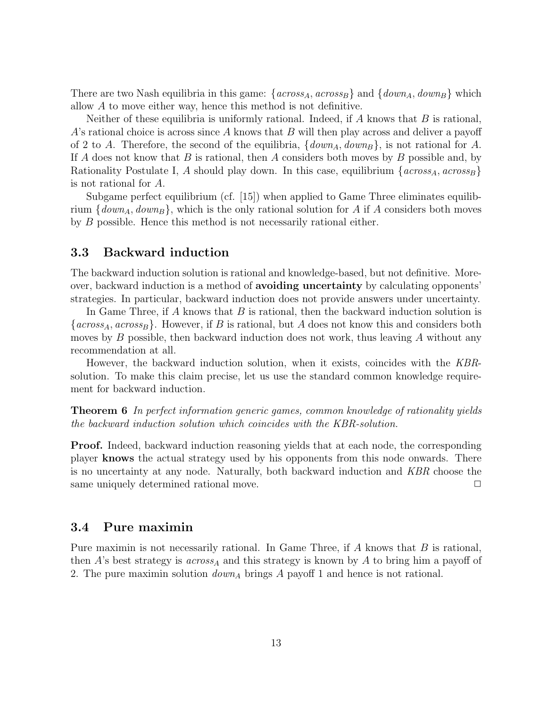There are two Nash equilibria in this game:  $\{across_A, across_B\}$  and  $\{down_A, down_B\}$  which allow A to move either way, hence this method is not definitive.

Neither of these equilibria is uniformly rational. Indeed, if A knows that  $B$  is rational,  $A$ 's rational choice is across since A knows that B will then play across and deliver a payoff of 2 to A. Therefore, the second of the equilibria,  $\{down_A, down_B\}$ , is not rational for A. If A does not know that B is rational, then A considers both moves by B possible and, by Rationality Postulate I, A should play down. In this case, equilibrium  $\{across_A, across_B\}$ is not rational for A.

Subgame perfect equilibrium (cf. [15]) when applied to Game Three eliminates equilibrium  $\{down_A, down_B\}$ , which is the only rational solution for A if A considers both moves by B possible. Hence this method is not necessarily rational either.

### 3.3 Backward induction

The backward induction solution is rational and knowledge-based, but not definitive. Moreover, backward induction is a method of avoiding uncertainty by calculating opponents' strategies. In particular, backward induction does not provide answers under uncertainty.

In Game Three, if A knows that B is rational, then the backward induction solution is  $\{across_A, across_B\}$ . However, if B is rational, but A does not know this and considers both moves by  $B$  possible, then backward induction does not work, thus leaving  $A$  without any recommendation at all.

However, the backward induction solution, when it exists, coincides with the KBRsolution. To make this claim precise, let us use the standard common knowledge requirement for backward induction.

**Theorem 6** In perfect information generic games, common knowledge of rationality yields the backward induction solution which coincides with the KBR-solution.

**Proof.** Indeed, backward induction reasoning yields that at each node, the corresponding player knows the actual strategy used by his opponents from this node onwards. There is no uncertainty at any node. Naturally, both backward induction and KBR choose the same uniquely determined rational move.  $\Box$ 

### 3.4 Pure maximin

Pure maximin is not necessarily rational. In Game Three, if  $A$  knows that  $B$  is rational, then A's best strategy is  $across_A$  and this strategy is known by A to bring him a payoff of 2. The pure maximin solution  $down_A$  brings A payoff 1 and hence is not rational.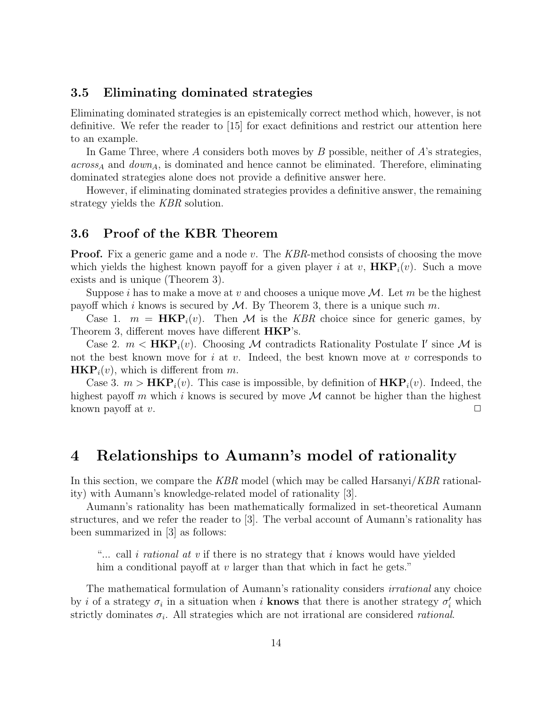### 3.5 Eliminating dominated strategies

Eliminating dominated strategies is an epistemically correct method which, however, is not definitive. We refer the reader to [15] for exact definitions and restrict our attention here to an example.

In Game Three, where A considers both moves by B possible, neither of  $A$ 's strategies,  $across<sub>A</sub>$  and  $down<sub>A</sub>$ , is dominated and hence cannot be eliminated. Therefore, eliminating dominated strategies alone does not provide a definitive answer here.

However, if eliminating dominated strategies provides a definitive answer, the remaining strategy yields the KBR solution.

#### 3.6 Proof of the KBR Theorem

**Proof.** Fix a generic game and a node v. The KBR-method consists of choosing the move which yields the highest known payoff for a given player i at v,  $HKP<sub>i</sub>(v)$ . Such a move exists and is unique (Theorem 3).

Suppose i has to make a move at v and chooses a unique move  $\mathcal{M}$ . Let m be the highest payoff which i knows is secured by  $M$ . By Theorem 3, there is a unique such m.

Case 1.  $m = \text{HKP}_i(v)$ . Then M is the KBR choice since for generic games, by Theorem 3, different moves have different  $HKP$ 's.

Case 2.  $m < \mathbf{HKP}_i(v)$ . Choosing M contradicts Rationality Postulate I' since M is not the best known move for  $i$  at  $v$ . Indeed, the best known move at  $v$  corresponds to  $HKP<sub>i</sub>(v)$ , which is different from m.

Case 3.  $m > HKP<sub>i</sub>(v)$ . This case is impossible, by definition of  $HKP<sub>i</sub>(v)$ . Indeed, the highest payoff m which i knows is secured by move  $\mathcal M$  cannot be higher than the highest known payoff at v.  $\square$ 

## 4 Relationships to Aumann's model of rationality

In this section, we compare the KBR model (which may be called Harsanyi/KBR rationality) with Aumann's knowledge-related model of rationality [3].

Aumann's rationality has been mathematically formalized in set-theoretical Aumann structures, and we refer the reader to [3]. The verbal account of Aumann's rationality has been summarized in [3] as follows:

"... call *i rational at v* if there is no strategy that *i* knows would have yielded him a conditional payoff at  $v$  larger than that which in fact he gets."

The mathematical formulation of Aumann's rationality considers irrational any choice by *i* of a strategy  $\sigma_i$  in a situation when *i* **knows** that there is another strategy  $\sigma'_i$  which strictly dominates  $\sigma_i$ . All strategies which are not irrational are considered *rational*.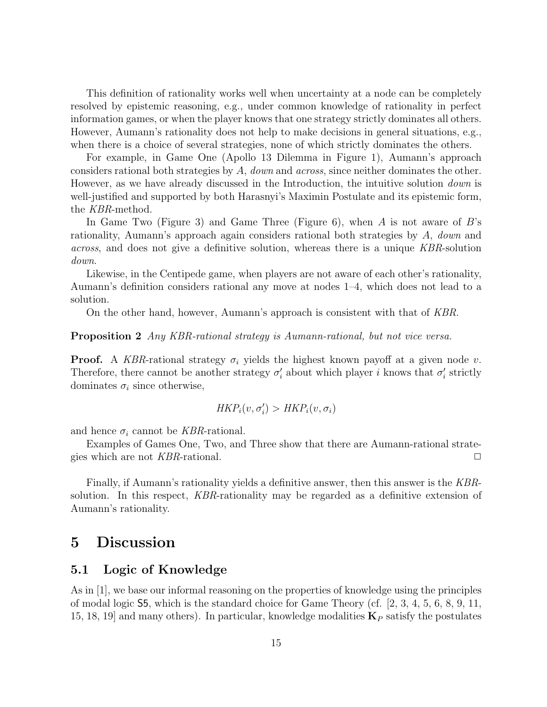This definition of rationality works well when uncertainty at a node can be completely resolved by epistemic reasoning, e.g., under common knowledge of rationality in perfect information games, or when the player knows that one strategy strictly dominates all others. However, Aumann's rationality does not help to make decisions in general situations, e.g., when there is a choice of several strategies, none of which strictly dominates the others.

For example, in Game One (Apollo 13 Dilemma in Figure 1), Aumann's approach considers rational both strategies by A, down and across, since neither dominates the other. However, as we have already discussed in the Introduction, the intuitive solution *down* is well-justified and supported by both Harasnyi's Maximin Postulate and its epistemic form, the KBR-method.

In Game Two (Figure 3) and Game Three (Figure 6), when A is not aware of  $B$ 's rationality, Aumann's approach again considers rational both strategies by A, down and across, and does not give a definitive solution, whereas there is a unique KBR-solution down.

Likewise, in the Centipede game, when players are not aware of each other's rationality, Aumann's definition considers rational any move at nodes 1–4, which does not lead to a solution.

On the other hand, however, Aumann's approach is consistent with that of KBR.

#### Proposition 2 Any KBR-rational strategy is Aumann-rational, but not vice versa.

**Proof.** A KBR-rational strategy  $\sigma_i$  yields the highest known payoff at a given node v. Therefore, there cannot be another strategy  $\sigma'_{i}$  about which player i knows that  $\sigma'_{i}$  strictly dominates  $\sigma_i$  since otherwise,

$$
\mathit{HKP}_i(v, \sigma'_i) > \mathit{HKP}_i(v, \sigma_i)
$$

and hence  $\sigma_i$  cannot be *KBR*-rational.

Examples of Games One, Two, and Three show that there are Aumann-rational strategies which are not  $KBR$ -rational.  $\Box$ 

Finally, if Aumann's rationality yields a definitive answer, then this answer is the KBRsolution. In this respect, KBR-rationality may be regarded as a definitive extension of Aumann's rationality.

### 5 Discussion

### 5.1 Logic of Knowledge

As in [1], we base our informal reasoning on the properties of knowledge using the principles of modal logic S5, which is the standard choice for Game Theory (cf. [2, 3, 4, 5, 6, 8, 9, 11, 15, 18, 19] and many others). In particular, knowledge modalities  $\mathbf{K}_P$  satisfy the postulates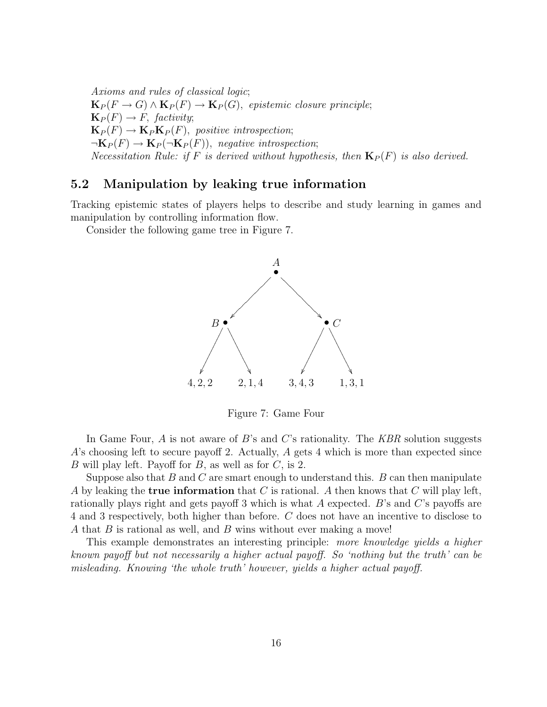Axioms and rules of classical logic;  ${\bf K}_P(F\to G)\wedge {\bf K}_P(F)\to {\bf K}_P(G)$ , epistemic closure principle;  $\mathbf{K}_P(F) \to F$ , factivity;  $\mathbf{K}_P(F) \to \mathbf{K}_P \mathbf{K}_P(F)$ , positive introspection;  $\neg K_P(F) \rightarrow K_P(\neg K_P(F))$ , negative introspection; Necessitation Rule: if F is derived without hypothesis, then  $\mathbf{K}_P(F)$  is also derived.

### 5.2 Manipulation by leaking true information

Tracking epistemic states of players helps to describe and study learning in games and manipulation by controlling information flow.

Consider the following game tree in Figure 7.



Figure 7: Game Four

In Game Four,  $A$  is not aware of  $B$ 's and  $C$ 's rationality. The  $KBR$  solution suggests A's choosing left to secure payoff 2. Actually, A gets 4 which is more than expected since B will play left. Payoff for  $B$ , as well as for  $C$ , is 2.

Suppose also that  $B$  and  $C$  are smart enough to understand this.  $B$  can then manipulate A by leaking the **true information** that C is rational. A then knows that C will play left, rationally plays right and gets payoff 3 which is what A expected. B's and C's payoffs are 4 and 3 respectively, both higher than before. C does not have an incentive to disclose to A that  $B$  is rational as well, and  $B$  wins without ever making a move!

This example demonstrates an interesting principle: more knowledge yields a higher known payoff but not necessarily a higher actual payoff. So 'nothing but the truth' can be misleading. Knowing 'the whole truth' however, yields a higher actual payoff.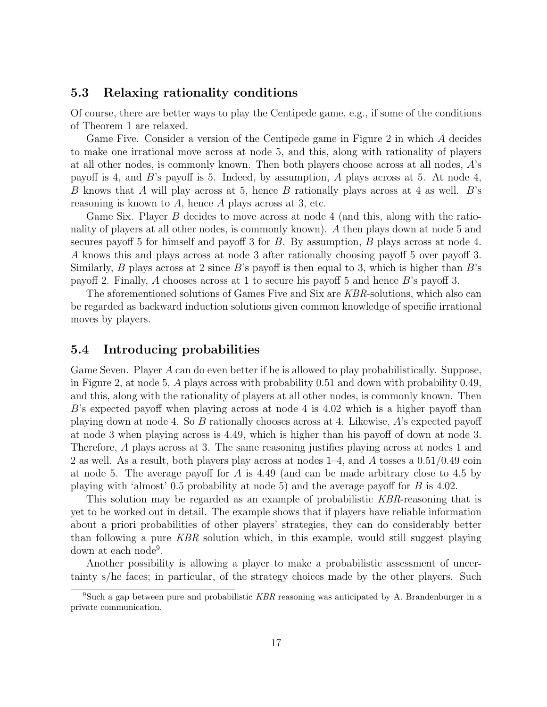### 5.3 Relaxing rationality conditions

Of course, there are better ways to play the Centipede game, e.g., if some of the conditions of Theorem 1 are relaxed.

Game Five. Consider a version of the Centipede game in Figure 2 in which A decides to make one irrational move across at node 5, and this, along with rationality of players at all other nodes, is commonly known. Then both players choose across at all nodes, A's payoff is 4, and  $B$ 's payoff is 5. Indeed, by assumption, A plays across at 5. At node 4, B knows that A will play across at 5, hence B rationally plays across at 4 as well. B's reasoning is known to  $A$ , hence  $A$  plays across at 3, etc.

Game Six. Player B decides to move across at node 4 (and this, along with the rationality of players at all other nodes, is commonly known). A then plays down at node 5 and secures payoff 5 for himself and payoff 3 for B. By assumption, B plays across at node 4. A knows this and plays across at node 3 after rationally choosing payoff 5 over payoff 3. Similarly,  $B$  plays across at 2 since  $B$ 's payoff is then equal to 3, which is higher than  $B$ 's payoff 2. Finally, A chooses across at 1 to secure his payoff 5 and hence B's payoff 3.

The aforementioned solutions of Games Five and Six are KBR-solutions, which also can be regarded as backward induction solutions given common knowledge of specific irrational moves by players.

#### 5.4 Introducing probabilities

Game Seven. Player A can do even better if he is allowed to play probabilistically. Suppose, in Figure 2, at node 5, A plays across with probability 0.51 and down with probability 0.49, and this, along with the rationality of players at all other nodes, is commonly known. Then  $B$ 's expected payoff when playing across at node 4 is 4.02 which is a higher payoff than playing down at node 4. So B rationally chooses across at 4. Likewise, A's expected payoff at node 3 when playing across is 4.49, which is higher than his payoff of down at node 3. Therefore, A plays across at 3. The same reasoning justifies playing across at nodes 1 and 2 as well. As a result, both players play across at nodes  $1-4$ , and A tosses a  $0.51/0.49$  coin at node 5. The average payoff for A is 4.49 (and can be made arbitrary close to 4.5 by playing with 'almost' 0.5 probability at node 5) and the average payoff for  $B$  is 4.02.

This solution may be regarded as an example of probabilistic KBR-reasoning that is yet to be worked out in detail. The example shows that if players have reliable information about a priori probabilities of other players' strategies, they can do considerably better than following a pure KBR solution which, in this example, would still suggest playing down at each node<sup>9</sup>.

Another possibility is allowing a player to make a probabilistic assessment of uncertainty s/he faces; in particular, of the strategy choices made by the other players. Such

<sup>9</sup>Such a gap between pure and probabilistic KBR reasoning was anticipated by A. Brandenburger in a private communication.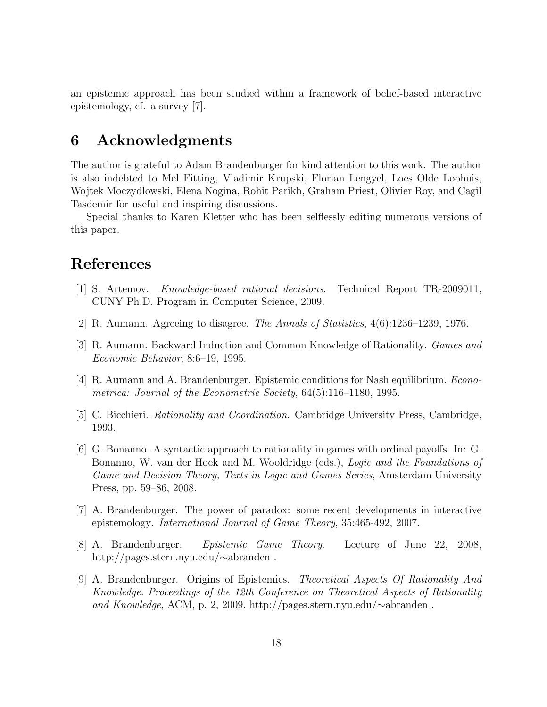an epistemic approach has been studied within a framework of belief-based interactive epistemology, cf. a survey [7].

### 6 Acknowledgments

The author is grateful to Adam Brandenburger for kind attention to this work. The author is also indebted to Mel Fitting, Vladimir Krupski, Florian Lengyel, Loes Olde Loohuis, Wojtek Moczydlowski, Elena Nogina, Rohit Parikh, Graham Priest, Olivier Roy, and Cagil Tasdemir for useful and inspiring discussions.

Special thanks to Karen Kletter who has been selflessly editing numerous versions of this paper.

## References

- [1] S. Artemov. Knowledge-based rational decisions. Technical Report TR-2009011, CUNY Ph.D. Program in Computer Science, 2009.
- [2] R. Aumann. Agreeing to disagree. The Annals of Statistics, 4(6):1236–1239, 1976.
- [3] R. Aumann. Backward Induction and Common Knowledge of Rationality. Games and Economic Behavior, 8:6–19, 1995.
- [4] R. Aumann and A. Brandenburger. Epistemic conditions for Nash equilibrium. Econometrica: Journal of the Econometric Society, 64(5):116–1180, 1995.
- [5] C. Bicchieri. Rationality and Coordination. Cambridge University Press, Cambridge, 1993.
- [6] G. Bonanno. A syntactic approach to rationality in games with ordinal payoffs. In: G. Bonanno, W. van der Hoek and M. Wooldridge (eds.), Logic and the Foundations of Game and Decision Theory, Texts in Logic and Games Series, Amsterdam University Press, pp. 59–86, 2008.
- [7] A. Brandenburger. The power of paradox: some recent developments in interactive epistemology. International Journal of Game Theory, 35:465-492, 2007.
- [8] A. Brandenburger. Epistemic Game Theory. Lecture of June 22, 2008, http://pages.stern.nyu.edu/∼abranden .
- [9] A. Brandenburger. Origins of Epistemics. Theoretical Aspects Of Rationality And Knowledge. Proceedings of the 12th Conference on Theoretical Aspects of Rationality and Knowledge, ACM, p. 2, 2009. http://pages.stern.nyu.edu/∼abranden .